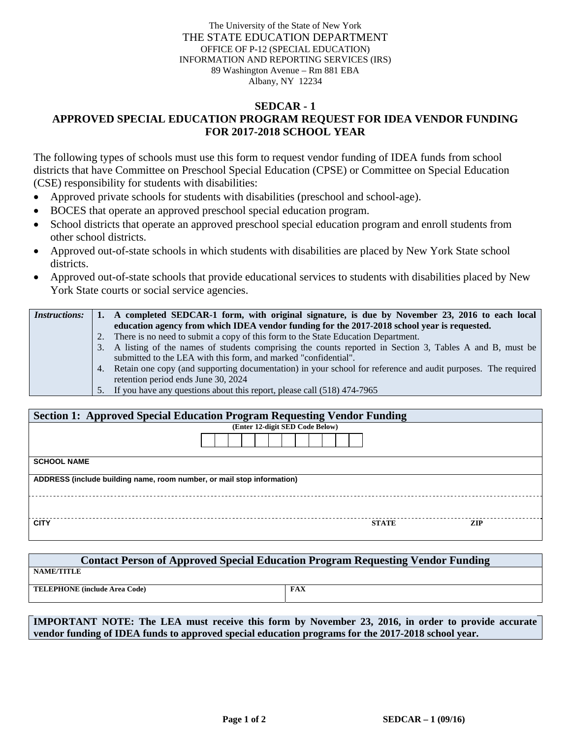The University of the State of New York THE STATE EDUCATION DEPARTMENT OFFICE OF P-12 (SPECIAL EDUCATION) INFORMATION AND REPORTING SERVICES (IRS) 89 Washington Avenue – Rm 881 EBA Albany, NY 12234

## **SEDCAR - 1 APPROVED SPECIAL EDUCATION PROGRAM REQUEST FOR IDEA VENDOR FUNDING FOR 2017-2018 SCHOOL YEAR**

The following types of schools must use this form to request vendor funding of IDEA funds from school districts that have Committee on Preschool Special Education (CPSE) or Committee on Special Education (CSE) responsibility for students with disabilities:

- Approved private schools for students with disabilities (preschool and school-age).
- BOCES that operate an approved preschool special education program.
- School districts that operate an approved preschool special education program and enroll students from other school districts.
- Approved out-of-state schools in which students with disabilities are placed by New York State school districts.
- Approved out-of-state schools that provide educational services to students with disabilities placed by New York State courts or social service agencies.

| <i>Instructions:</i> | 1. A completed SEDCAR-1 form, with original signature, is due by November 23, 2016 to each local                |  |  |  |
|----------------------|-----------------------------------------------------------------------------------------------------------------|--|--|--|
|                      | education agency from which IDEA vendor funding for the 2017-2018 school year is requested.                     |  |  |  |
|                      | 2. There is no need to submit a copy of this form to the State Education Department.                            |  |  |  |
|                      | 3. A listing of the names of students comprising the counts reported in Section 3, Tables A and B, must be      |  |  |  |
|                      | submitted to the LEA with this form, and marked "confidential".                                                 |  |  |  |
|                      | 4. Retain one copy (and supporting documentation) in your school for reference and audit purposes. The required |  |  |  |
|                      | retention period ends June 30, 2024                                                                             |  |  |  |
|                      | 5. If you have any questions about this report, please call (518) 474-7965                                      |  |  |  |

| <b>Section 1: Approved Special Education Program Requesting Vendor Funding</b> |                                 |              |            |  |  |  |  |  |
|--------------------------------------------------------------------------------|---------------------------------|--------------|------------|--|--|--|--|--|
|                                                                                | (Enter 12-digit SED Code Below) |              |            |  |  |  |  |  |
|                                                                                |                                 |              |            |  |  |  |  |  |
| <b>SCHOOL NAME</b>                                                             |                                 |              |            |  |  |  |  |  |
| ADDRESS (include building name, room number, or mail stop information)         |                                 |              |            |  |  |  |  |  |
|                                                                                |                                 |              |            |  |  |  |  |  |
| <b>CITY</b>                                                                    |                                 | <b>STATE</b> | <b>ZIP</b> |  |  |  |  |  |

| <b>Contact Person of Approved Special Education Program Requesting Vendor Funding</b> |     |  |  |  |  |  |  |  |
|---------------------------------------------------------------------------------------|-----|--|--|--|--|--|--|--|
| <b>NAME/TITLE</b>                                                                     |     |  |  |  |  |  |  |  |
| <b>TELEPHONE</b> (include Area Code)                                                  | FAX |  |  |  |  |  |  |  |

**IMPORTANT NOTE: The LEA must receive this form by November 23, 2016, in order to provide accurate vendor funding of IDEA funds to approved special education programs for the 2017-2018 school year.**